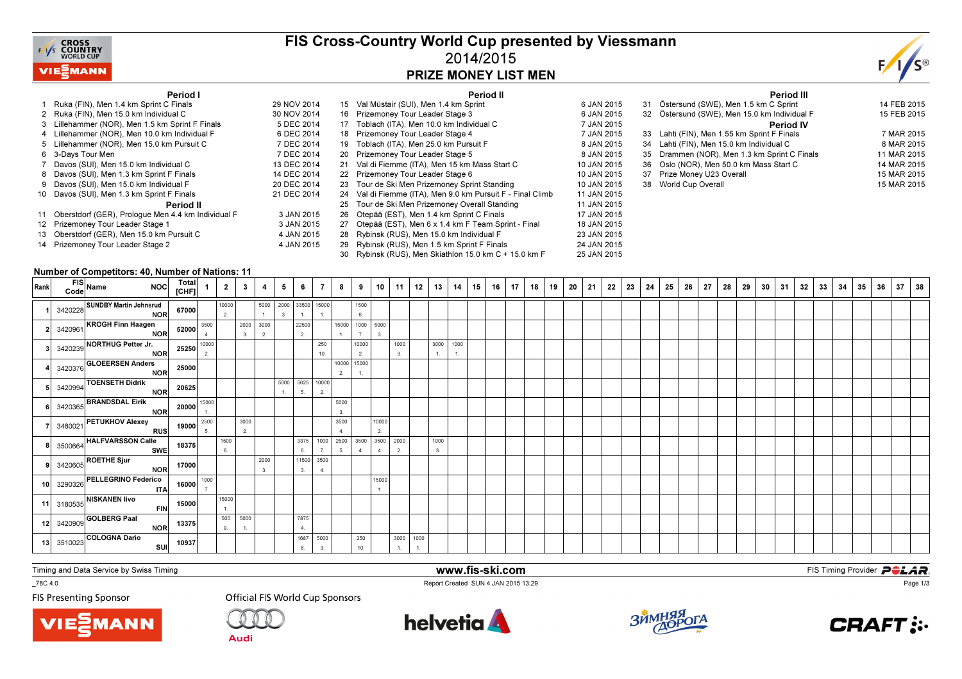

## FIS Cross-Country World Cup presented by Viessmann2014/2015PRIZE MONEY LIST MEN



#### Period I

| Period I                                              |             |    | Period II                                               |             |    |                  |
|-------------------------------------------------------|-------------|----|---------------------------------------------------------|-------------|----|------------------|
| 1 Ruka (FIN), Men 1.4 km Sprint C Finals              | 29 NOV 2014 |    | 15 Val Müstair (SUI), Men 1.4 km Sprint                 | 6 JAN 2015  | 31 | Östersund        |
| 2 Ruka (FIN). Men 15.0 km Individual C                | 30 NOV 2014 |    | 16 Prizemoney Tour Leader Stage 3                       | 6 JAN 2015  |    | 32 Östersund     |
| 3 Lillehammer (NOR), Men 1.5 km Sprint F Finals       | 5 DEC 2014  | 17 | Toblach (ITA), Men 10.0 km Individual C                 | 7 JAN 2015  |    |                  |
| 4 Lillehammer (NOR), Men 10.0 km Individual F         | 6 DEC 2014  |    | 18 Prizemoney Tour Leader Stage 4                       | 7 JAN 2015  | 33 | Lahti (FIN)      |
| 5 Lillehammer (NOR), Men 15.0 km Pursuit C            | 7 DEC 2014  | 19 | Toblach (ITA), Men 25.0 km Pursuit F                    | 8 JAN 2015  | 34 | Lahti (FIN)      |
| 6 3-Days Tour Men                                     | 7 DEC 2014  |    | 20 Prizemoney Tour Leader Stage 5                       | 8 JAN 2015  | 35 | Drammen          |
| 7 Davos (SUI), Men 15.0 km Individual C               | 13 DEC 2014 |    | 21 Val di Fiemme (ITA), Men 15 km Mass Start C          | 10 JAN 2015 |    | 36 Oslo (NOF     |
| 8 Davos (SUI), Men 1.3 km Sprint F Finals             | 14 DEC 2014 |    | 22 Prizemoney Tour Leader Stage 6                       | 10 JAN 2015 | 37 | Prize Mon        |
| 9 Davos (SUI), Men 15.0 km Individual F               | 20 DEC 2014 |    | 23 Tour de Ski Men Prizemoney Sprint Standing           | 10 JAN 2015 | 38 | <b>World Cup</b> |
| 10 Davos (SUI), Men 1.3 km Sprint F Finals            | 21 DEC 2014 | 24 | Val di Fiemme (ITA), Men 9.0 km Pursuit F - Final Climb | 11 JAN 2015 |    |                  |
| Period II                                             |             | 25 | Tour de Ski Men Prizemoney Overall Standing             | 11 JAN 2015 |    |                  |
| 11 Oberstdorf (GER), Prologue Men 4.4 km Individual F | 3 JAN 2015  |    | 26 Otepää (EST), Men 1.4 km Sprint C Finals             | 17 JAN 2015 |    |                  |
| 12 Prizemoney Tour Leader Stage 1                     | 3 JAN 2015  |    | 27 Otepää (EST), Men 6 x 1.4 km F Team Sprint - Final   | 18 JAN 2015 |    |                  |
| 13 Oberstdorf (GER), Men 15.0 km Pursuit C            | 4 JAN 2015  | 28 | Rybinsk (RUS), Men 15.0 km Individual F                 | 23 JAN 2015 |    |                  |
| 14 Prizemoney Tour Leader Stage 2                     | 4 JAN 2015  | 29 | Rybinsk (RUS), Men 1.5 km Sprint F Finals               | 24 JAN 2015 |    |                  |
|                                                       |             |    | 30 Rybinsk (RUS), Men Skiathlon 15.0 km C + 15.0 km F   | 25 JAN 2015 |    |                  |

|    | Period III                                   |             |
|----|----------------------------------------------|-------------|
| 31 | Östersund (SWE), Men 1.5 km C Sprint         | 14 FEB 2015 |
|    | 32 Östersund (SWE), Men 15.0 km Individual F | 15 FEB 2015 |
|    | <b>Period IV</b>                             |             |
|    | 33 Lahti (FIN), Men 1.55 km Sprint F Finals  | 7 MAR 2015  |
|    | 34 Lahti (FIN), Men 15.0 km Individual C     | 8 MAR 2015  |
| 35 | Drammen (NOR), Men 1.3 km Sprint C Finals    | 11 MAR 2015 |
| 36 | Oslo (NOR), Men 50.0 km Mass Start C         | 14 MAR 2015 |
| 37 | Prize Money U23 Overall                      | 15 MAR 2015 |
|    | 38 World Cup Overall                         | 15 MAR 2015 |
|    |                                              |             |

#### Number of Competitors: 40, Number of Nations: 11

| Rank | FIS<br>Code Name<br>NOC Total 1                                                                                        |           |                           | $2 \mid 3 \mid 4 \mid$               |                 | 5                 | 6                     | $\overline{7}$  | 8               |                 | 9   10      |            | $11$   12 | 13   14                       | $15$ 16 | 17 | $1$ 18 $+$ | 19 | 20 | 21 | 22 | 23 | 24 | 25 | 26 | 27 | 28 | 29 | 30 | 31 | 32 | 33 | 34 | 35 | 36 | 37 | 38 |
|------|------------------------------------------------------------------------------------------------------------------------|-----------|---------------------------|--------------------------------------|-----------------|-------------------|-----------------------|-----------------|-----------------|-----------------|-------------|------------|-----------|-------------------------------|---------|----|------------|----|----|----|----|----|----|----|----|----|----|----|----|----|----|----|----|----|----|----|----|
|      | 3420228 SUNDBY Martin Johnsrud<br>NOR 67000                                                                            |           | 10000<br>$\overline{2}$ . |                                      | $-1$ .          | 3.                | 5000 2000 33500 15000 | $-1.$           |                 | 1500<br>6.      |             |            |           |                               |         |    |            |    |    |    |    |    |    |    |    |    |    |    |    |    |    |    |    |    |    |    |    |
|      |                                                                                                                        |           |                           | $\mathbf{I}=\mathbf{3},\mathbf{}$ ). | 2000 3000<br>2. |                   | 22500<br>2            |                 | 15000<br>1.     | 1000 5000<br>7. | 3.          |            |           |                               |         |    |            |    |    |    |    |    |    |    |    |    |    |    |    |    |    |    |    |    |    |    |    |
|      | 2 3420961<br>Sales ACCOM MORE SALES NORTHUG Petter Jr.<br>3 3420239 NORTHUG Petter Jr.<br>NOR 25250 10000              |           |                           |                                      |                 |                   |                       | 250<br>10.      |                 | 10000<br>2.     |             | 1000<br>3. |           | 3000 1000<br>$\overline{1}$ . |         |    |            |    |    |    |    |    |    |    |    |    |    |    |    |    |    |    |    |    |    |    |    |
|      | 4 3420376 GLOEERSEN Anders<br>5 3420994 TOENSETH Didrik<br>5 3420994 TOENSETH Didrik<br>NOR 20625                      |           |                           |                                      |                 |                   |                       |                 | 2.              | 10000 15000     |             |            |           |                               |         |    |            |    |    |    |    |    |    |    |    |    |    |    |    |    |    |    |    |    |    |    |    |
|      |                                                                                                                        |           |                           |                                      |                 | 5000<br>$\sim$ 1. | 5625 10000<br>5.      | 2.              |                 |                 |             |            |           |                               |         |    |            |    |    |    |    |    |    |    |    |    |    |    |    |    |    |    |    |    |    |    |    |
|      | 6 3420365 BRANDSDAL Eirik<br>7 3480021 PETUKHOV Alexey<br>RUS 19000 $\frac{^{15000}}{5}$                               |           |                           |                                      |                 |                   |                       |                 | 5000<br>3.      |                 |             |            |           |                               |         |    |            |    |    |    |    |    |    |    |    |    |    |    |    |    |    |    |    |    |    |    |    |
|      |                                                                                                                        |           |                           | 3000<br>2.                           |                 |                   |                       |                 | 3500<br>4.      |                 | 10000<br>2. |            |           |                               |         |    |            |    |    |    |    |    |    |    |    |    |    |    |    |    |    |    |    |    |    |    |    |
|      |                                                                                                                        |           | 1500<br>6.                |                                      |                 |                   | 3375 1000<br>6.       | 7.              | 2500 3500<br>5. | $-4$            | 3500<br>4.  | 2000<br>2. |           | 1000<br>3.                    |         |    |            |    |    |    |    |    |    |    |    |    |    |    |    |    |    |    |    |    |    |    |    |
|      | 8 3500664 HALFVARSSON Calle<br>9 3420605 ROETHE Sjur<br>NOR 17000                                                      |           |                           |                                      | 2000<br>3.      |                   | 11500 3500<br>3.      | 4.              |                 |                 |             |            |           |                               |         |    |            |    |    |    |    |    |    |    |    |    |    |    |    |    |    |    |    |    |    |    |    |
|      |                                                                                                                        |           |                           |                                      |                 |                   |                       |                 |                 |                 | 15000       |            |           |                               |         |    |            |    |    |    |    |    |    |    |    |    |    |    |    |    |    |    |    |    |    |    |    |
|      |                                                                                                                        |           | 15000<br>1.               |                                      |                 |                   |                       |                 |                 |                 |             |            |           |                               |         |    |            |    |    |    |    |    |    |    |    |    |    |    |    |    |    |    |    |    |    |    |    |
|      | 10 3290326 PELLEGRINO Federico 16000 1000<br>17 3180535 NISKANEN IIvo ITA 16000 1<br>12 3420909 GOLBERG Paal NOR 13375 |           | 9.                        | 500 5000<br>$-1.$                    |                 |                   | 7875                  |                 |                 |                 |             |            |           |                               |         |    |            |    |    |    |    |    |    |    |    |    |    |    |    |    |    |    |    |    |    |    |    |
|      | 13 3510023 COLOGNA Dario                                                                                               | SUI 10937 |                           |                                      |                 |                   |                       | 1687 5000<br>3. |                 | 250<br>10.      |             | 3000 1000  |           |                               |         |    |            |    |    |    |    |    |    |    |    |    |    |    |    |    |    |    |    |    |    |    |    |

Timing and Data Service by Swiss Timing

\_78C 4.0

**FIS Presenting Sponsor** 





**Official FIS World Cup Sponsors** 

**helvetia** 

www.fis-ski.com

Report Created SUN 4 JAN 2015 13:29



**m**<br>E<sup>12.20</sup>



Page 1/3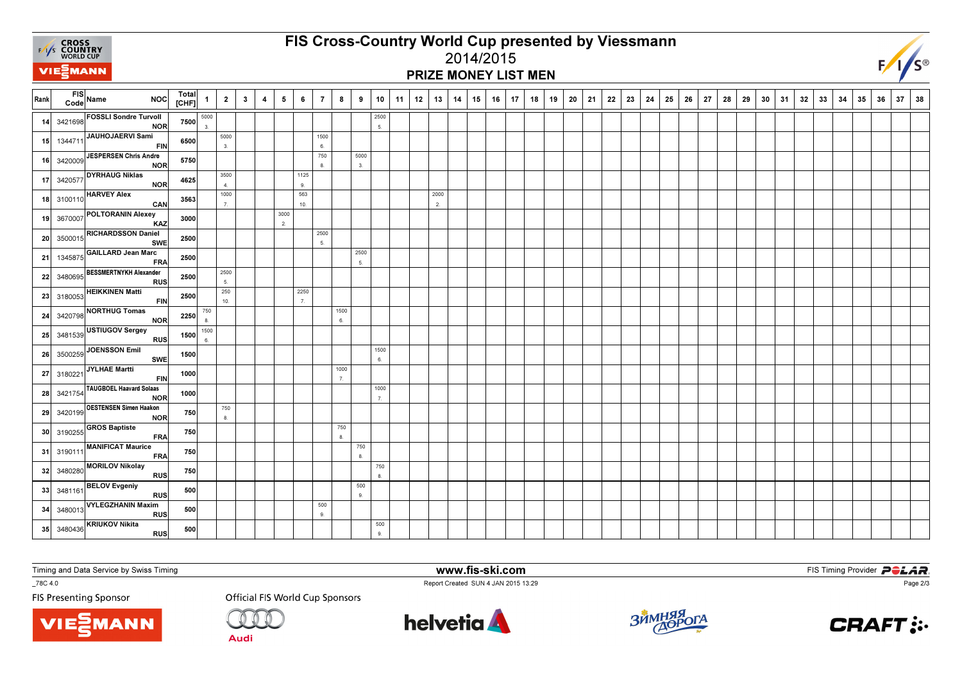

Rank

24

27

# FIS Cross-Country World Cup presented by Viessmann

### 2014/2015PRIZE MONEY LIST MEN

| $\overline{\mathsf{rank}}$ | FIS Name | <b>NOC</b>                                                                                                 | Total<br>[CHF] | $\mathbf{1}$           | $\overline{\mathbf{2}}$  | $\overline{\mathbf{3}}$ | $\overline{4}$ | $5\overline{5}$          | 6                        | $\overline{7}$ | 8                        | 9          | 10         | 11 | 12 | 13         | 14 | 15 | 16 | 17 | 18 | 19 | 20 | 21 | 22 | 23 | 24 | 25 | 26 | 27 | 28 | 29 | 30 | 31 | 32 | 33 | 34 | 35 | 36 | 37 | 38 |
|----------------------------|----------|------------------------------------------------------------------------------------------------------------|----------------|------------------------|--------------------------|-------------------------|----------------|--------------------------|--------------------------|----------------|--------------------------|------------|------------|----|----|------------|----|----|----|----|----|----|----|----|----|----|----|----|----|----|----|----|----|----|----|----|----|----|----|----|----|
|                            |          | 14 3421698 FOSSLI Sondre Turvoll<br>NOR                                                                    | 7500           | 5000<br>3 <sub>1</sub> |                          |                         |                |                          |                          |                |                          |            | 2500<br>5. |    |    |            |    |    |    |    |    |    |    |    |    |    |    |    |    |    |    |    |    |    |    |    |    |    |    |    |    |
|                            |          | 15 1344711 JAUHOJAERVI Sami<br><b>FIN</b>                                                                  | 6500           |                        | 5000<br>3.               |                         |                |                          |                          | 1500<br>6.     |                          |            |            |    |    |            |    |    |    |    |    |    |    |    |    |    |    |    |    |    |    |    |    |    |    |    |    |    |    |    |    |
|                            |          | 16 3420009 JESPERSEN Chris Andre<br>NOR                                                                    | 5750           |                        |                          |                         |                |                          |                          | 750<br>8.      |                          | 5000<br>3. |            |    |    |            |    |    |    |    |    |    |    |    |    |    |    |    |    |    |    |    |    |    |    |    |    |    |    |    |    |
|                            |          | $\overline{17}$ 3420577 DYRHAUG Niklas<br>NOR                                                              | 4625           |                        | 3500<br>$\overline{4}$ . |                         |                |                          | 1125<br>9.               |                |                          |            |            |    |    |            |    |    |    |    |    |    |    |    |    |    |    |    |    |    |    |    |    |    |    |    |    |    |    |    |    |
|                            |          | 18 3100110 HARVEY Alex<br><b>CAN</b>                                                                       | 3563           |                        | 1000<br>7.               |                         |                |                          | 563<br>10.               |                |                          |            |            |    |    | 2000<br>2. |    |    |    |    |    |    |    |    |    |    |    |    |    |    |    |    |    |    |    |    |    |    |    |    |    |
|                            |          | 19 3670007 POLTORANIN Alexey<br>KAZ                                                                        | 3000           |                        |                          |                         |                | 3000<br>$\overline{2}$ . |                          |                |                          |            |            |    |    |            |    |    |    |    |    |    |    |    |    |    |    |    |    |    |    |    |    |    |    |    |    |    |    |    |    |
|                            |          | 20 3500015 RICHARDSSON Daniel<br><b>SWE</b>                                                                | 2500           |                        |                          |                         |                |                          |                          | 2500<br>5.     |                          |            |            |    |    |            |    |    |    |    |    |    |    |    |    |    |    |    |    |    |    |    |    |    |    |    |    |    |    |    |    |
|                            |          | 21 1345875 GAILLARD Jean Marc<br><b>FRA</b>                                                                | 2500           |                        |                          |                         |                |                          |                          |                |                          | 2500<br>5. |            |    |    |            |    |    |    |    |    |    |    |    |    |    |    |    |    |    |    |    |    |    |    |    |    |    |    |    |    |
|                            |          | 22 3480695 BESSMERTNYKH Alexander<br>RUS                                                                   | 2500           |                        | 2500<br>5.               |                         |                |                          |                          |                |                          |            |            |    |    |            |    |    |    |    |    |    |    |    |    |    |    |    |    |    |    |    |    |    |    |    |    |    |    |    |    |
|                            |          | $23 \overline{\smash{\big)}\ 3180053}$ HEIKKINEN Matti<br><b>FIN</b>                                       | 2500           |                        | 250<br>10.               |                         |                |                          | 2250<br>$\overline{7}$ . |                |                          |            |            |    |    |            |    |    |    |    |    |    |    |    |    |    |    |    |    |    |    |    |    |    |    |    |    |    |    |    |    |
|                            |          | $\begin{array}{ c c }\n\hline\n\text{3420798} \hline\n\text{NORTHUG Tomas}\n\hline\n\end{array}$<br>NOR    | 2250           | 750<br>8.              |                          |                         |                |                          |                          |                | 1500<br>6.               |            |            |    |    |            |    |    |    |    |    |    |    |    |    |    |    |    |    |    |    |    |    |    |    |    |    |    |    |    |    |
|                            |          | 25 3481539 USTIUGOV Sergey<br><b>RUS</b>                                                                   | 1500           | 1500<br>6.             |                          |                         |                |                          |                          |                |                          |            |            |    |    |            |    |    |    |    |    |    |    |    |    |    |    |    |    |    |    |    |    |    |    |    |    |    |    |    |    |
|                            |          | $26 \overline{\smash{\big)}\ 3500259}$ JOENSSON Emil<br>SWE                                                | 1500           |                        |                          |                         |                |                          |                          |                |                          |            | 1500<br>6. |    |    |            |    |    |    |    |    |    |    |    |    |    |    |    |    |    |    |    |    |    |    |    |    |    |    |    |    |
|                            |          | $27 \Big  3180221 \Big  \overline{\text{JYLHAE Martti}}$<br><b>FIN</b>                                     | 1000           |                        |                          |                         |                |                          |                          |                | 1000<br>$\overline{7}$ . |            |            |    |    |            |    |    |    |    |    |    |    |    |    |    |    |    |    |    |    |    |    |    |    |    |    |    |    |    |    |
|                            |          | 28 3421754 TAUGBOEL Haavard Solaas<br><b>NOR</b>                                                           | 1000           |                        |                          |                         |                |                          |                          |                |                          |            | 1000<br>7. |    |    |            |    |    |    |    |    |    |    |    |    |    |    |    |    |    |    |    |    |    |    |    |    |    |    |    |    |
|                            |          | 29 3420199 OESTENSEN Simen Haakon<br>NOR                                                                   | 750            |                        | 750<br>8.                |                         |                |                          |                          |                |                          |            |            |    |    |            |    |    |    |    |    |    |    |    |    |    |    |    |    |    |    |    |    |    |    |    |    |    |    |    |    |
|                            |          | $\begin{array}{ c c } \hline \textbf{3190255} & \textbf{GROS Baptiste} \\\hline \end{array}$<br><b>FRA</b> | 750            |                        |                          |                         |                |                          |                          |                | 750<br>8.                |            |            |    |    |            |    |    |    |    |    |    |    |    |    |    |    |    |    |    |    |    |    |    |    |    |    |    |    |    |    |
|                            |          | 31 3190111 MANIFICAT Maurice<br><b>FRA</b>                                                                 | 750            |                        |                          |                         |                |                          |                          |                |                          | 750<br>8.  |            |    |    |            |    |    |    |    |    |    |    |    |    |    |    |    |    |    |    |    |    |    |    |    |    |    |    |    |    |
|                            |          | 32 3480280 MORILOV Nikolay<br>RUS                                                                          | 750            |                        |                          |                         |                |                          |                          |                |                          |            | 750<br>8.  |    |    |            |    |    |    |    |    |    |    |    |    |    |    |    |    |    |    |    |    |    |    |    |    |    |    |    |    |
|                            |          | $33 \overline{\smash{\big)}\ 3481161}$ BELOV Evgeniy<br>RUS                                                | 500            |                        |                          |                         |                |                          |                          |                |                          | 500<br>9.  |            |    |    |            |    |    |    |    |    |    |    |    |    |    |    |    |    |    |    |    |    |    |    |    |    |    |    |    |    |
|                            |          | 34 3480013 VYLEGZHANIN Maxim<br><b>RUS</b>                                                                 | 500            |                        |                          |                         |                |                          |                          | 500<br>9.      |                          |            |            |    |    |            |    |    |    |    |    |    |    |    |    |    |    |    |    |    |    |    |    |    |    |    |    |    |    |    |    |
|                            |          | 35 3480436 KRIUKOV Nikita<br><b>RUS</b>                                                                    | 500            |                        |                          |                         |                |                          |                          |                |                          |            | 500<br>9.  |    |    |            |    |    |    |    |    |    |    |    |    |    |    |    |    |    |    |    |    |    |    |    |    |    |    |    |    |

Timing and Data Service by Swiss Timing

\_78C 4.0

**FIS Presenting Sponsor** 



**Audi** 



www.fis-ski.com

Report Created SUN 4 JAN 2015 13:29



**m**<br>E<sup>12.20</sup>



Page 2/3

 $F/I/S^{\circledcirc}$